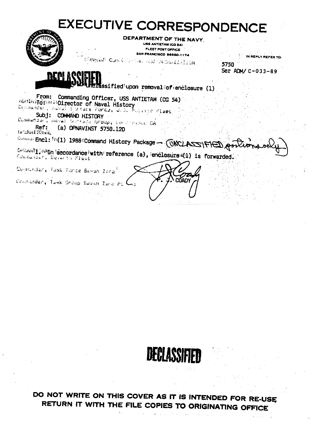# **EXECUTIVE CORRESPONDENCE**



DEPARTMENT OF THE NAVY, **USS ANTIETAM (CG 54)** FLEET POST OFFICE **SAN FRANCISCO 96660-1174** 

Compute Curviciana etab da Santilitica

IN REPLY REFER TO: 5750 Ser ADM/ C-033-89

rassified upon removal of enclosure (1)

From: Commanding Officer, USS ANTIETAM (CG 54) Mastairo: il Director of Naval History Cassmander, suival ElirFace Porcu, U.S. Polatic flagt,

Subj: COMMAND HISTORY Commandar, Mayal Screage Group, Longinessu. DA Ref: (a) OPNAVINST 5750.12D In LRAIDIGL

ConnectEncl: [6(1) 1988 Command History Package - (UNCLASSIFIED Por

Conseil: wein accordance with reference (a), enclosure (1) is forwarded. Connecture, Barbert Flast

Deskander, Task Fordø Baven Zero!

Concender, Task Shoup Bevan Zero Pt (

ירו∆רר жÝ.



DO NOT WRITE ON THIS COVER AS IT IS INTENDED FOR RE-USE RETURN IT WITH THE FILE COPIES TO ORIGINATING OFFICE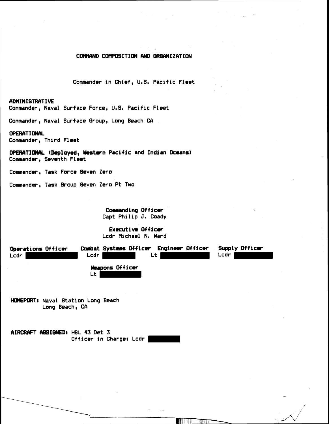## COMMAND COMPOSITION AND ORGANIZATION

Commander in Chief, **U.6.** Pacific Fleet

## **AMINISTRATIVE**

Commander, Naval Surface Force, U.S. Pacific Fleet

Commander, Naval Surface Group, Long Beach CA

#### **OPERATIONAL**

Commander, Third Fleet

**OPERATIONAL (Deployed, Western Pacific and Indian Oceans)** Commander, Seventh Fleet

Commander, Task Force Seven Zero

Commander, Task Qroup Seven Zero Pt Two

Commanding Officer Capt Philip **J.** Coady

**Executive Officer** Lcdr Michael N. Ward

**Operations Officer Combat Systems Officer Engineer Officer Supply Officer** Lcdr Lcdr Lcdr Lt Lt Lcdr Lcdr **Weapons Officer** Lt

**HOMEPORT#** Naval Station Long Beach Long Beach, CA

**AIRCRAFT ASSIGNED: HSL 43 Det 3** Officer **in** Chargel Lcdr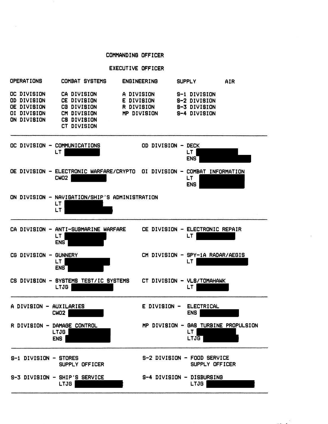#### **COMMANDINO OFFICER**

## **EXECUTIVE OFFICER**

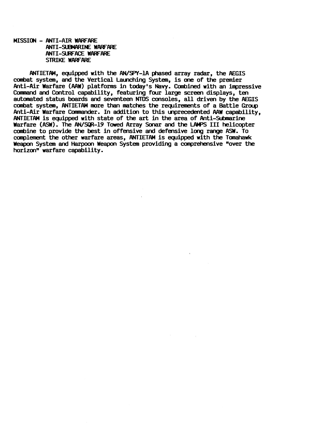**MISSION - ANTI-AIR WARFARE ANTI-SUBMARINE WARFARE ANTI-SURFACE WARFARE STRIKE WARFARE** 

**ANTIETAM, equipped with the AN/SPY-1A phased array radar, the AEGIS combat system, and the Vertical Launching System, is one of the premier Anti-Air Warfare (AAW) platforms in today's Navy. Canbined with an impressive**  Camnand **and Control capability, featuring four large screen displays, ten automated status boards and seventeen** NTDS **consoles, all driven by the AEGIS combat system, ANTIETAM more than matches the requirements of a Battle Group Anti-Air Warfare Cannander. In addition to this unprecedented AAW capability, ANTIETAM is equipped with state of the art in the area of Anti-Submarine Warfare (A!%). The AN/SQR-19 Towed Array** Sonar **and the** LM'S **I11 helicopter combine to provide the best in offensive and defensive long** range ASW. **To canplement the other warfare areas, ANTIETAM is equipped with the Tanahauk Weapon System and Harpoon Weapon System providing a comprehensive "over the horizonw warfare capability.**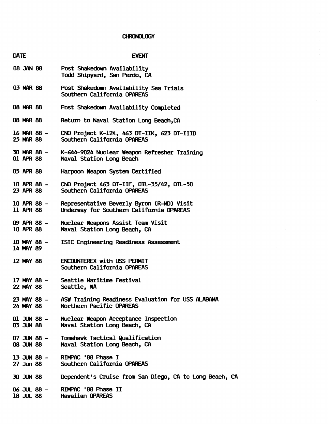# CHRONOLOGY

| <b>DATE</b>              | <b>EVENT</b>                                                                                        |
|--------------------------|-----------------------------------------------------------------------------------------------------|
| <b>88 JAN 88</b>         | Post Shakedown Availability<br>Todd Shipyard, San Perdo, CA                                         |
| 03 MAR 88                | Post Shakedown Availability Sea Trials<br>Southern California OPAREAS                               |
| <b>08 MAR 88</b>         | Post Shakedown Availability Completed                                                               |
| 08 MAR 88                | Return to Naval Station Long Beach, CA                                                              |
| 16 MAR 88 –<br>25 MAR 88 | CNO Project K-124, 463 DT-IIK, 623 DT-IIID<br>Southern California OPAREAS                           |
| 01 APR 88                | 30 MAR 88 - K-644-9024 Nuclear Weapon Refresher Training<br>Naval Station Long Beach                |
| 05 APR 88                | Harpoon Weapon System Certified                                                                     |
| 10 APR 88 -<br>23 APR 88 | CNO Project 463 OT-IIF, OTL-35/42, OTL-50<br>Southern California OPAREAS                            |
| 10 APR 88 -<br>11 APR 88 | Representative Beverly Byron (R-MD) Visit<br>Underway for Southern California OPAREAS               |
| 09 APR 88 -<br>10 APR 88 | Nuclear Weapons Assist Team Visit<br>Naval Station Long Beach, CA                                   |
| 10 MAY 88 -<br>14 MAY 89 | ISIC Engineering Readiness Assessment                                                               |
| 12 MAY 88                | <b>ENCOUNTEREX with USS PERMIT</b><br>Southern California OPAREAS                                   |
| 17 MAY 88 -<br>22 MAY 88 | Seattle Maritime Festival<br>Seattle, WA                                                            |
|                          | 23 MAY 88 - ASW Training Readiness Evaluation for USS ALABAMA<br>24 MAY 88 Northern Pacific OPAREAS |
|                          | 01 JUN 88 - Nuclear Weapon Acceptance Inspection<br>03 JUN 88 Naval Station Long Beach, CA          |
|                          | 07 JUN 88 - Tomahawk Tactical Qualification<br>08 JUN 88 Naval Station Long Beach, CA               |
|                          | 13 JUN 88 - RIMPAC '88 Phase I<br>27 Jun 88 Southern California OPAREAS                             |
|                          | 30 JUN 88 Dependent's Cruise from San Diego, CA to Long Beach, CA                                   |
|                          | 06 JUL 88 - RIMPAC '88 Phase II<br>18 JUL 88 Hawaiian OPAREAS                                       |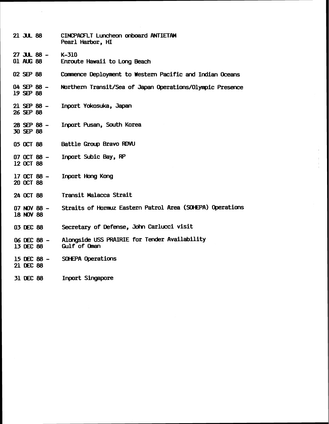| $21$ JUL 88                      | CINCPACFLT Luncheon onboard ANTIETAM<br>Pearl Harbor, HI      |
|----------------------------------|---------------------------------------------------------------|
| $27$ JUL 88 - K-310<br>01 AUG 88 | Enroute Hawaii to Long Beach                                  |
| 02 SEP 88                        | Commence Deployment to Western Pacific and Indian Oceans      |
| $04$ SEP 88 $-$<br>19 SEP 88     | Northern Transit/Sea of Japan Operations/Olympic Presence     |
| $21$ SEP 88 $-$<br>26 SEP 88     | Inport Yokosuka, Japan                                        |
| 28 SEP 88 -<br>30 SEP 88         | Inport Pusan, South Korea                                     |
| 05 OCT 88                        | Battle Group Bravo RDVU                                       |
| 07 OCT 88 -<br>12 OCT 88         | Inport Subic Bay, RP                                          |
| $17$ OCT 88 $-$<br>20 OCT 88     | Inport Hong Kong                                              |
| 24 OCT 88                        | Transit Malacca Strait                                        |
| $07$ NOV 88 $-$<br>18 NOV 88     | Straits of Hormuz Eastern Patrol Area (SOHEPA) Operations     |
| 03 DEC 88                        | Secretary of Defense, John Carlucci visit                     |
| 06 DEC 88 -<br>13 DEC 88         | Alongside USS PRAIRIE for Tender Availability<br>Gulf of Oman |
| 15 DEC 88 -<br>21 DEC 88         | <b>SOHEPA Operations</b>                                      |
| 31 DEC 88                        | <b>Inport Singapore</b>                                       |

 $\mathcal{A}^{\mathcal{A}}$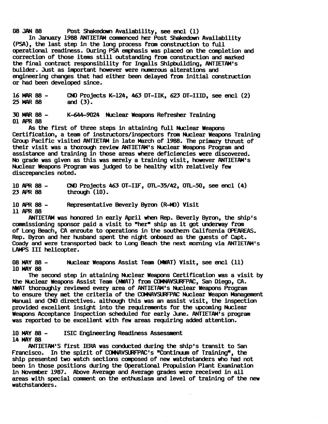**08JAN88 Post Shakedown Availability, see encl (1)** 

**In January 1988 ANTIETAM** comnenced **her Post Shakedown Availability**  (PSA) , **the last step in the long process from construction to full operational readiness. During PSA emphasis** was **placed on the completion and correction of those items still outstanding from construction and marked**  the final contract responsibility for Ingalls Shipbuilding, ANTIETAM's **builder. Just as important however were numerous alterations and engineering changes that had either been delayed from initial construction or had been developed since.** 

**16W88- CNO Projects K-124, 463 DT-IIK, 623 DT-IIID, see encl (2) 25 Ir(C\R 88 and (3).** 

**3ClM88- K-644-9024 Nuclear Weapons Refresher Training 01 APR 88** 

As the first of three steps in attaining full Nuclear Weapons **Certification, a team of instructors/inspectors from Nuclear Weapons Training Group Pacific visited ANTIETAM in late March of 1988. The primary thrust of their visit was a thorough review ANTIETAM'S Nuclear Weapons Program and assistance and training in those areas where deficiencies were discovered. No grade was given as this was merely a training visit, however ANTIETAM'S Nuclear Weapons Program was judged to be healthy with relatively few discrepancies noted.** 

**10APR88- CNO Projects 463 OT-IF, ML-35/42, OTL-50, see encl (4)**  through (10).

10 APR 88 - Representative Beverly Byron (R-MD) Visit

**11** APR **88** 

**ANTIETAM was honored in early April** when **Rep. Beverly Byron, the ship's**  commissioning sponsor paid a visit to "her" ship as it got underway from **of Long Beach, CA enroute to operations in the southern California OPEAREAS. Rep. Bym and her husband spent the night onboard as the guests of Capt. Coady and were transported back to Long Beach the next morning via ANTIETAMIS**  LAWS **I11 helicopter.** 

**<sup>08</sup>MAY <sup>88</sup>**- **Nuclear Weapons Assist Team (MAT) Visit, see encl (11) 10 MAY 88** 

**The second step in attaining Nuclear Weapons Certification** was **a visit by**  the Nuclear Weapons Assist Team (NWAT) from COMNAVSURFPAC, San Diego, CA. **NUAT thoroughly reviewed every area of ANTIETAM'S Nuclear Weapons Program**  to ensure they met the criteria of the COMNAVSURFPAC Nuclear Weapon Management Manual **and CNO directives. although this was an assist visit, the inspection provided excellent insight into the requirements for the upcoming Nuclear**  Weapons Acceptance Inspection scheduled for early June. ANTIETAM's program **was reported to be excellent with few areas requiring added attention.** 

10 MAY 88 - ISIC Engineering Readiness Assessment **14 MAY 88** 

**ANTIETAM'S first IERA was conducted during the ship's transit to San**  Francisco. In the spirit of COMNAVSURFPAC's "Continuum of Training", the **ship presented two watch sections canposed of new watchstanders who had not been in those positions during the Operational Propulsion Plant Examination**  in November 1987. Above Average and Average grades were received in all **areas with special romnent on the enthusiasm and level of training of the new watchstanders.**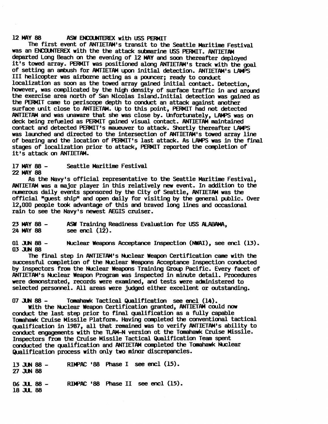## 12 MAY 88 **ASW ENCOUNTEREX with USS PERMIT**

The first event of ANTIETAM'S transit to the Seattle Maritime Festival was an ENCOUNTEREX with the the attack submarine USS PERMIT. ANTIETAM<br>departed Long Beach on the evening of 12 MAY and soon thereafter deployed it's towed array. PERMIT was positioned along ANTIETAM's track with the **goal** of setting an ambush for ANTIETAM upon initial detection. ANTIETAM's LAMPS I11 helicopter was **airborne** acting as a pwncer; ready to conduct localization as soon as the towed array gained initial contact. Detection, however, was complicated by the **high** density of surface traffic in and around the exercise area north of **San** Nicolas 1sland.Initial detection was gained as the PERMIT came to periscope depth to conduct an attack against another surface unit close to ANTIETAM. Up to this point, PERMIT had not detected AHTIETAM **and** was unaware that **she was** close by. Unfortunately, IAbPS was on deck being refueled as PERMIT gained visual contact. ANTIETAM maintained contact and detected PERMIT's maueuver to attack. Shortly thereafter LAMPS was launched **and** directed to the intersection of ANTIETAM'S towed array line of bearing and the location of PERMIT's last attack. As LAMPS was in the final stages of localization prior to attack, PERMIT reported **the** completion of it's attack on ANTIETAW.

<sup>17</sup>**MY** <sup>88</sup>- Seattle Maritime Festival 22 MAY 88

**As** the Navy's official representative **to the** Seattle Maritime Festival, ANTIETAM was a major player in this relatively new event. In addition to **the**  numerous daily events sponsored by the City of Seattle, ANTIETAM was the official "guest shipw **and open** daily for visiting by **the** general public. Over 12,000 people took advantage of this and braved long lines and occasional rain to see the Navy's newest AEGIS cruiser.

23MY88- **ASW** Training Readiness Evaluation for **USS** ALMWl, see encl **(12)**.

013UN88- Wlear **Weapons Acceptance** Inspection **(NWAI)** , **see** encl **(l3)** .. 03 **3JN** <sup>88</sup>

**The** final step in ANTIETAM'S Nuclear Weapon Certification came with the successful completion of the Nuclear Weapons Acceptance Inspection conducted by inspectors from the Nuclear **Ueapons** Training *Group* Pacific. Every facet of ANTIETAM's Nuclear Weapon Program was inspected in minute detail. Procedures were demonstrated, records were examined, **and** tests were administered to selected persomel. All areas were judged either excellent or outstanding.

07 JUN 88 - Tomahawk Tactical Qualification see encl (14).

With the Nuclear Weapon Certification granted, ANTIETAW could now conduct the last step prior to final qualification as a fully capable Tomahawk Cruise Missile Platform. Having completed the conventional tactical qualification in 1987, all that remained was to verify ANTIETAM's ability to conduct engagements with the TLAk4-N version ot **the** Tomahawk **Cruise** Missile. Inspectors from the Cruise Missile Tactical Qualification Team spent conducted the qualification and ANTIETAM completed the Tomahawk Nuclear Qualification process **with** only two minor discrepancies.

13-88- RIWW **'88** Phase I **see encl (B).**   $27$  JUN 88

06 JUL 88 - RIMPAC '88 Phase II see encl (15). 18 **3U.** 88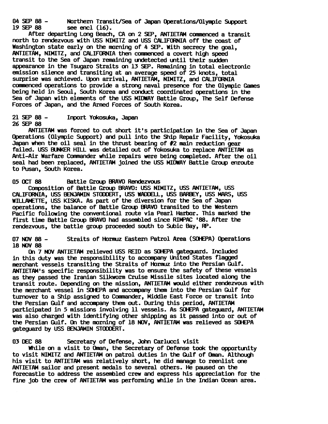04 SEP 88 - Northern Transit/Sea of Japan Operations/Olympic Support<br>19 SEP 88 see encl (16). see encl  $(16)$ .

After departing **Long** Beach, **CA** on 2 **SEP,** ANTIETAM camienced a transit north to rendezvous with USS NIMITZ **and** USS CALIFORNIA off the coast of Washington state early on the morning of 4 **SEP.** With **secrecy** the **goal,**  ANTIETAM, NIMITZ, and CALIFORNIA then commenced a covert high speed transit to the **Sea** of **Japan** remaining undetected until their sudden appearance in the Tsugaro Straits on 13 SEP. Remaining in total electronic emission silence and transiting at an average speed of 25 knots, total surprise was achieved. Upon arrival, ANTIETAM, NIMITZ, and CALIFORNIA comnenced operations to provide a strong naval presence for **the** Olympic Games being held in Seoul, South Korea **and** conduct coordinated operations in **the**  Sea of Japan with elements of the **USS** MIDWAY Battle **Group, The** Self Defense Forces of Japan, and the Armed Forces of South Korea.

## **2l-88-** Inport Yokosuka, **Japan**  26 SEP 88

ANTIETAM was forced to cut short it's participation in the Sea of Japan Operations (Olympic Support) **and** pull into the Ship Repair Facility, Yokosuka **Japan when** the oil seal in the thrust bearing of #2 main reduction **gear**  failed. USS BUNKER HILL was detailed out of Yokosuka to replace ANTIETAM as Anti-Air Warfare Comnander while repairs were being canpleted. After the oil seal had been replaced, ANTIETAM joined the USS MIDWAY Battle **Group** enroute to **Pusan,** South Korea.

## 05 OCT 88 Battle (;roup **BRAVO** Rendezvous

Composition of Battle *Group* **BRAVO:** USS NIMITZ, USS ANTIETAM, **USS**  CALIFORNIA, **USS** BP(JAM1N STUXERT, **USS WADDEU,** USS BARBPI, **USS** MARS, U6S WIWTTE, **USS** KISKA. As part of **the** diversion for the Sea of **Japan**  operations, the balance of Battle *Group* **BRAVO** transited to the Western Pacific following the conventional route via Pearl Harbor. This **marked the**  first time Battle *Group* **BRAVO** had assembled since **RIWAC** '88. After the rendezvous, the battle **group** proceeded south to Subic Bay, FP.

07NOV88- Straits of **Hormuz** Eastern Patrol Area (SOtWA) Operations 18 NOV 88

**On** 7 **NOV** ANTIETAM relieved USS REID **as** SOHEPA gateguard. Included in this duty was the responsibility to accompany lhited States flagged merchant vessels transiting the Straits of **Hormuz** into **the** Persian Gulf. ANTIETAM'S specific responsibility **was** to ensure the safety of these vessels as they passed the Iranian Silkworm Cruise Missile sites located along the transit route. Depending **on** the mission, ANTIETAM would either rendezvous with the merchant vessel in SMEPA and accanpany them into the Persian Gulf for turnover to a Ship assigned to Commander, Middle East Force or transit into the Persian Gulf **and** accompany them out. Wring this period, ANTIETAM participated in 5 missions involving 11 vessels. As SOHEPA gateguard, ANTIETAM was also charged with identifying other shipping as it **passed** into or out of the Persian Gulf. **On** the morning of 18 NOV, ANTIETAM **was** relieved as SOHEPA gateguard by **USS** ENJAMIN STOOOERT.

03 DEC 88 Secretary of Defense, John Carlucci visit

While on a visit to Oman, the Secretary of Defense took the opportunity to visit NIMITZ and ANTIETAM on patrol duties in the Gulf of Oman. Although his visit to ANTIETAM was relatively short, he did **manage** to reenlist **one**  ANTIETAM sailor and present medals to several others. **He** paused on the forecastle to address the assembled crew **and** express his appreciation for the fine job the crew of ANTIETAM was performing while in the Indian Ocean **area.**